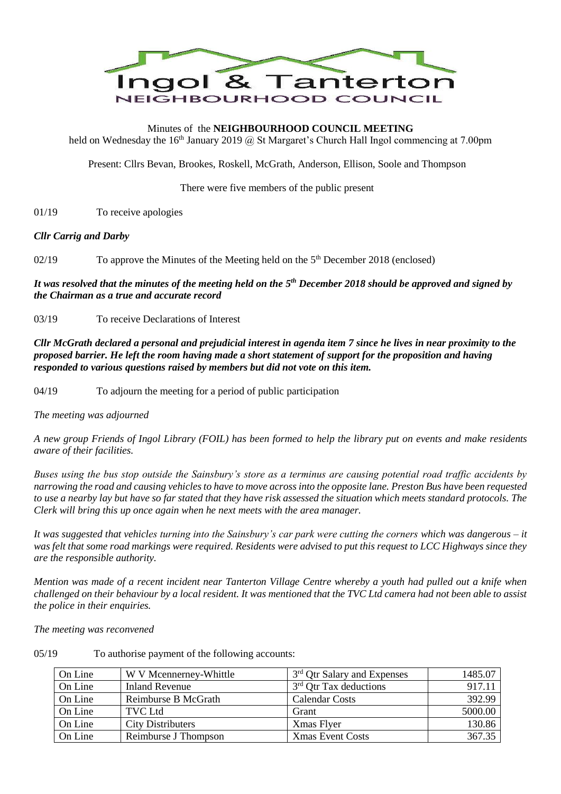

# Minutes of the **NEIGHBOURHOOD COUNCIL MEETING**

held on Wednesday the 16<sup>th</sup> January 2019  $\hat{\omega}$  St Margaret's Church Hall Ingol commencing at 7.00pm

Present: Cllrs Bevan, Brookes, Roskell, McGrath, Anderson, Ellison, Soole and Thompson

There were five members of the public present

01/19 To receive apologies

#### *Cllr Carrig and Darby*

02/19 To approve the Minutes of the Meeting held on the 5<sup>th</sup> December 2018 (enclosed)

*It was resolved that the minutes of the meeting held on the 5 th December 2018 should be approved and signed by the Chairman as a true and accurate record*

03/19 To receive Declarations of Interest

*Cllr McGrath declared a personal and prejudicial interest in agenda item 7 since he lives in near proximity to the proposed barrier. He left the room having made a short statement of support for the proposition and having responded to various questions raised by members but did not vote on this item.*

04/19 To adjourn the meeting for a period of public participation

*The meeting was adjourned*

*A new group Friends of Ingol Library (FOIL) has been formed to help the library put on events and make residents aware of their facilities.*

*Buses using the bus stop outside the Sainsbury's store as a terminus are causing potential road traffic accidents by narrowing the road and causing vehicles to have to move across into the opposite lane. Preston Bus have been requested to use a nearby lay but have so far stated that they have risk assessed the situation which meets standard protocols. The Clerk will bring this up once again when he next meets with the area manager.*

*It was suggested that vehicles turning into the Sainsbury's car park were cutting the corners which was dangerous – it was felt that some road markings were required. Residents were advised to put this request to LCC Highways since they are the responsible authority.*

*Mention was made of a recent incident near Tanterton Village Centre whereby a youth had pulled out a knife when challenged on their behaviour by a local resident. It was mentioned that the TVC Ltd camera had not been able to assist the police in their enquiries.*

*The meeting was reconvened*

05/19 To authorise payment of the following accounts:

| On Line | W V Mcennerney-Whittle   | 3 <sup>rd</sup> Qtr Salary and Expenses | 1485.07 |
|---------|--------------------------|-----------------------------------------|---------|
| On Line | Inland Revenue           | $3rd$ Qtr Tax deductions                | 917.11  |
| On Line | Reimburse B McGrath      | Calendar Costs                          | 392.99  |
| On Line | <b>TVC Ltd</b>           | Grant                                   | 5000.00 |
| On Line | <b>City Distributers</b> | Xmas Flyer                              | 130.86  |
| On Line | Reimburse J Thompson     | <b>Xmas Event Costs</b>                 | 367.35  |